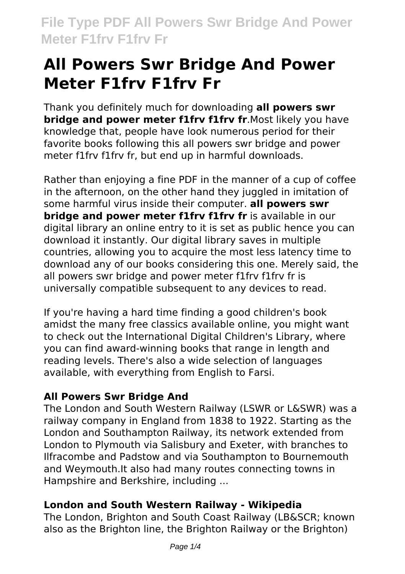# **All Powers Swr Bridge And Power Meter F1frv F1frv Fr**

Thank you definitely much for downloading **all powers swr bridge and power meter f1frv f1frv fr**.Most likely you have knowledge that, people have look numerous period for their favorite books following this all powers swr bridge and power meter f1frv f1frv fr, but end up in harmful downloads.

Rather than enjoying a fine PDF in the manner of a cup of coffee in the afternoon, on the other hand they juggled in imitation of some harmful virus inside their computer. **all powers swr bridge and power meter f1fry f1fry fr** is available in our digital library an online entry to it is set as public hence you can download it instantly. Our digital library saves in multiple countries, allowing you to acquire the most less latency time to download any of our books considering this one. Merely said, the all powers swr bridge and power meter f1frv f1frv fr is universally compatible subsequent to any devices to read.

If you're having a hard time finding a good children's book amidst the many free classics available online, you might want to check out the International Digital Children's Library, where you can find award-winning books that range in length and reading levels. There's also a wide selection of languages available, with everything from English to Farsi.

# **All Powers Swr Bridge And**

The London and South Western Railway (LSWR or L&SWR) was a railway company in England from 1838 to 1922. Starting as the London and Southampton Railway, its network extended from London to Plymouth via Salisbury and Exeter, with branches to Ilfracombe and Padstow and via Southampton to Bournemouth and Weymouth.It also had many routes connecting towns in Hampshire and Berkshire, including ...

# **London and South Western Railway - Wikipedia**

The London, Brighton and South Coast Railway (LB&SCR; known also as the Brighton line, the Brighton Railway or the Brighton)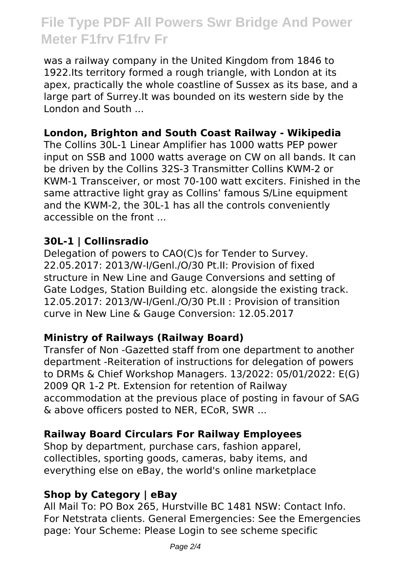# **File Type PDF All Powers Swr Bridge And Power Meter F1frv F1frv Fr**

was a railway company in the United Kingdom from 1846 to 1922.Its territory formed a rough triangle, with London at its apex, practically the whole coastline of Sussex as its base, and a large part of Surrey.It was bounded on its western side by the London and South ...

### **London, Brighton and South Coast Railway - Wikipedia**

The Collins 30L-1 Linear Amplifier has 1000 watts PEP power input on SSB and 1000 watts average on CW on all bands. It can be driven by the Collins 32S-3 Transmitter Collins KWM-2 or KWM-1 Transceiver, or most 70-100 watt exciters. Finished in the same attractive light gray as Collins' famous S/Line equipment and the KWM-2, the 30L-1 has all the controls conveniently accessible on the front ...

#### **30L-1 | Collinsradio**

Delegation of powers to CAO(C)s for Tender to Survey. 22.05.2017: 2013/W-I/Genl./O/30 Pt.II: Provision of fixed structure in New Line and Gauge Conversions and setting of Gate Lodges, Station Building etc. alongside the existing track. 12.05.2017: 2013/W-I/Genl./O/30 Pt.II : Provision of transition curve in New Line & Gauge Conversion: 12.05.2017

# **Ministry of Railways (Railway Board)**

Transfer of Non -Gazetted staff from one department to another department -Reiteration of instructions for delegation of powers to DRMs & Chief Workshop Managers. 13/2022: 05/01/2022: E(G) 2009 QR 1-2 Pt. Extension for retention of Railway accommodation at the previous place of posting in favour of SAG & above officers posted to NER, ECoR, SWR ...

#### **Railway Board Circulars For Railway Employees**

Shop by department, purchase cars, fashion apparel, collectibles, sporting goods, cameras, baby items, and everything else on eBay, the world's online marketplace

# **Shop by Category | eBay**

All Mail To: PO Box 265, Hurstville BC 1481 NSW: Contact Info. For Netstrata clients. General Emergencies: See the Emergencies page: Your Scheme: Please Login to see scheme specific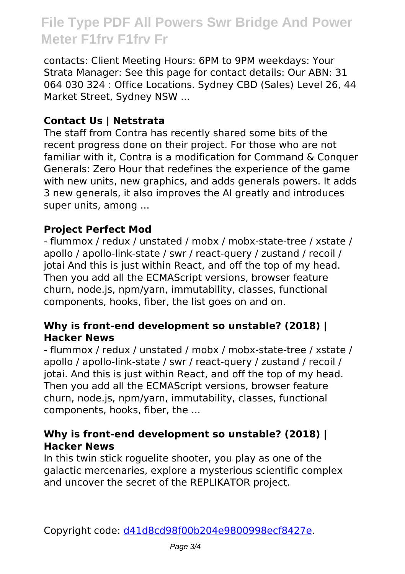# **File Type PDF All Powers Swr Bridge And Power Meter F1frv F1frv Fr**

contacts: Client Meeting Hours: 6PM to 9PM weekdays: Your Strata Manager: See this page for contact details: Our ABN: 31 064 030 324 : Office Locations. Sydney CBD (Sales) Level 26, 44 Market Street, Sydney NSW ...

### **Contact Us | Netstrata**

The staff from Contra has recently shared some bits of the recent progress done on their project. For those who are not familiar with it, Contra is a modification for Command & Conquer Generals: Zero Hour that redefines the experience of the game with new units, new graphics, and adds generals powers. It adds 3 new generals, it also improves the AI greatly and introduces super units, among ...

#### **Project Perfect Mod**

- flummox / redux / unstated / mobx / mobx-state-tree / xstate / apollo / apollo-link-state / swr / react-query / zustand / recoil / jotai And this is just within React, and off the top of my head. Then you add all the ECMAScript versions, browser feature churn, node.js, npm/yarn, immutability, classes, functional components, hooks, fiber, the list goes on and on.

#### **Why is front-end development so unstable? (2018) | Hacker News**

- flummox / redux / unstated / mobx / mobx-state-tree / xstate / apollo / apollo-link-state / swr / react-query / zustand / recoil / jotai. And this is just within React, and off the top of my head. Then you add all the ECMAScript versions, browser feature churn, node.js, npm/yarn, immutability, classes, functional components, hooks, fiber, the ...

#### **Why is front-end development so unstable? (2018) | Hacker News**

In this twin stick roguelite shooter, you play as one of the galactic mercenaries, explore a mysterious scientific complex and uncover the secret of the REPLIKATOR project.

Copyright code: [d41d8cd98f00b204e9800998ecf8427e.](/sitemap.xml)